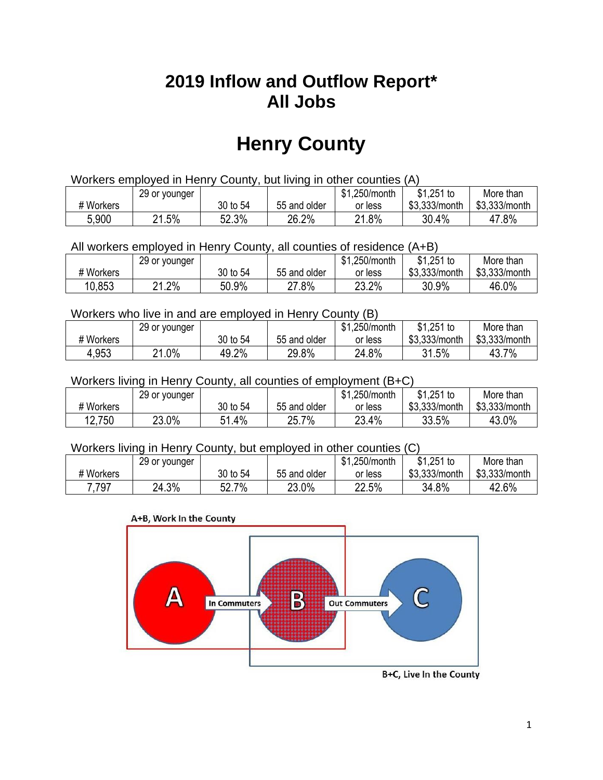## **2019 Inflow and Outflow Report\* All Jobs**

# **Henry County**

| Workers employed in Henry County, but living in other counties (A) |       |          |              |         |               |               |  |  |  |
|--------------------------------------------------------------------|-------|----------|--------------|---------|---------------|---------------|--|--|--|
| $$1,251$ to<br>\$1.250/month<br>29 or younger<br>More than         |       |          |              |         |               |               |  |  |  |
| # Workers                                                          |       | 30 to 54 | 55 and older | or less | \$3.333/month | \$3,333/month |  |  |  |
| 5,900                                                              | 21.5% | 52.3%    | 26.2%        | 21.8%   | 30.4%         | 47.8%         |  |  |  |

All workers employed in Henry County, all counties of residence (A+B)

|           | 29 or younger |          |              | \$1,250/month | $$1,251$ to   | More than     |
|-----------|---------------|----------|--------------|---------------|---------------|---------------|
| # Workers |               | 30 to 54 | 55 and older | or less       | \$3,333/month | \$3,333/month |
| 10,853    | .2%<br>ດ4     | 50.9%    | $27.8\%$     | 23.2%         | 30.9%         | 46.0%         |

#### Workers who live in and are employed in Henry County (B)

|           | 29 or younger |          |              | \$1,250/month | $$1,251$ to   | More than     |
|-----------|---------------|----------|--------------|---------------|---------------|---------------|
| # Workers |               | 30 to 54 | 55 and older | or less       | \$3,333/month | \$3,333/month |
| 4,953     | $.0\%$<br>O 4 | 49.2%    | 29.8%        | 24.8%         | 31.5%         | 43.7%         |

#### Workers living in Henry County, all counties of employment (B+C)

|           | 29 or younger |             |              | \$1,250/month | \$1,251 to    | More than     |
|-----------|---------------|-------------|--------------|---------------|---------------|---------------|
| # Workers |               | 30 to 54    | 55 and older | or less       | \$3,333/month | \$3,333/month |
| 12,750    | 23.0%         | 1.4%،<br>51 | 25.7%        | 23.4%         | 33.5%         | 43.0%         |

#### Workers living in Henry County, but employed in other counties (C)

|           | 29 or younger |                   |              | \$1,250/month | $$1,251$ to   | More than     |
|-----------|---------------|-------------------|--------------|---------------|---------------|---------------|
| # Workers |               | 30 to 54          | 55 and older | or less       | \$3,333/month | \$3,333/month |
| 7,797     | 24.3%         | 7%<br>Γn.<br>ו גכ | 23.0%        | 22.5%         | 34.8%         | 42.6%         |





B+C, Live In the County